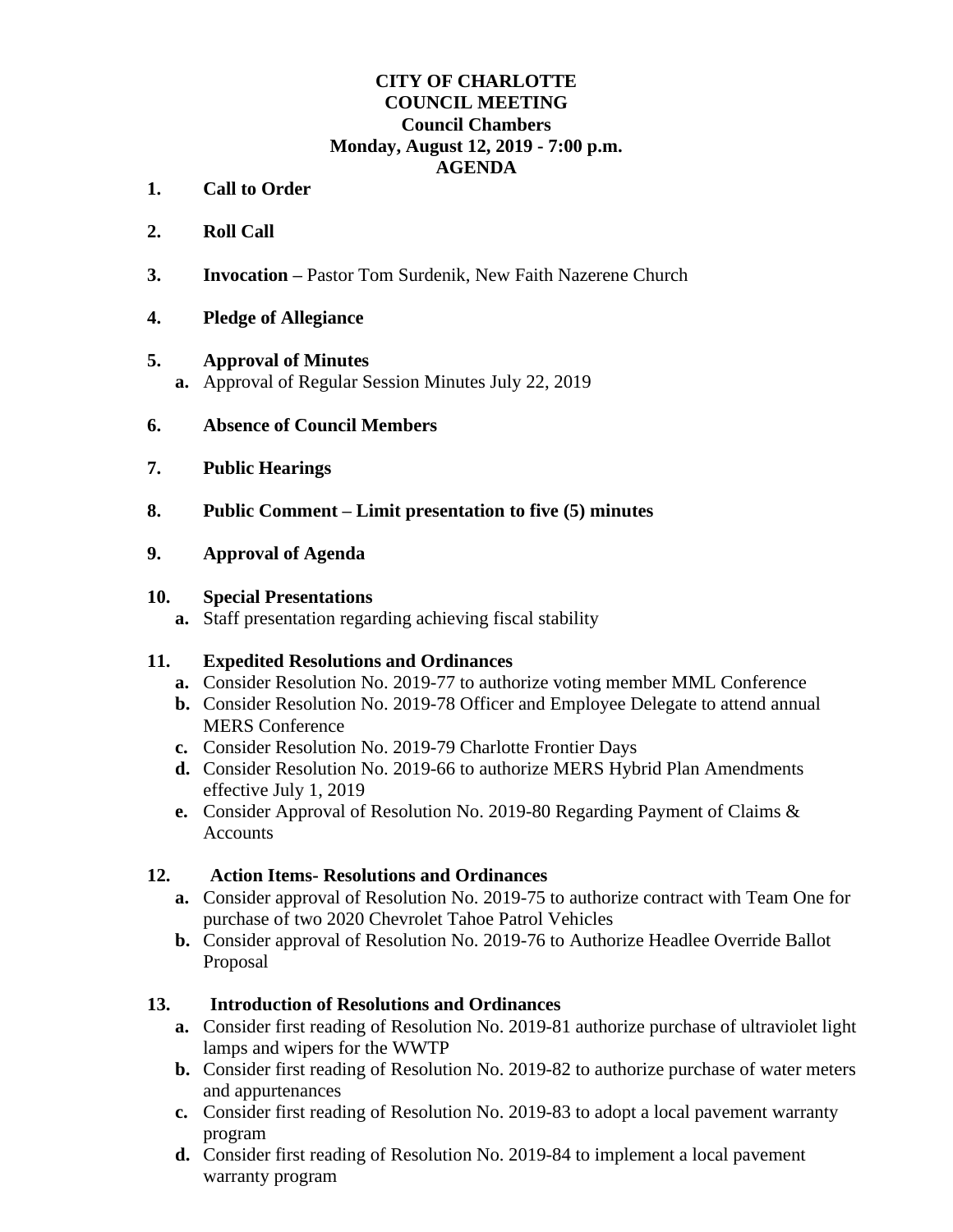# **CITY OF CHARLOTTE COUNCIL MEETING Council Chambers Monday, August 12, 2019 - 7:00 p.m. AGENDA**

- **1. Call to Order**
- **2. Roll Call**
- **3. Invocation –** Pastor Tom Surdenik, New Faith Nazerene Church
- **4. Pledge of Allegiance**

#### **5. Approval of Minutes**

- **a.** Approval of Regular Session Minutes July 22, 2019
- **6. Absence of Council Members**
- **7. Public Hearings**
- **8. Public Comment – Limit presentation to five (5) minutes**

#### **9. Approval of Agenda**

#### **10. Special Presentations**

**a.** Staff presentation regarding achieving fiscal stability

#### **11. Expedited Resolutions and Ordinances**

- **a.** Consider Resolution No. 2019-77 to authorize voting member MML Conference
- **b.** Consider Resolution No. 2019-78 Officer and Employee Delegate to attend annual MERS Conference
- **c.** Consider Resolution No. 2019-79 Charlotte Frontier Days
- **d.** Consider Resolution No. 2019-66 to authorize MERS Hybrid Plan Amendments effective July 1, 2019
- **e.** Consider Approval of Resolution No. 2019-80 Regarding Payment of Claims & **Accounts**

## **12. Action Items- Resolutions and Ordinances**

- **a.** Consider approval of Resolution No. 2019-75 to authorize contract with Team One for purchase of two 2020 Chevrolet Tahoe Patrol Vehicles
- **b.** Consider approval of Resolution No. 2019-76 to Authorize Headlee Override Ballot Proposal

## **13. Introduction of Resolutions and Ordinances**

- **a.** Consider first reading of Resolution No. 2019-81 authorize purchase of ultraviolet light lamps and wipers for the WWTP
- **b.** Consider first reading of Resolution No. 2019-82 to authorize purchase of water meters and appurtenances
- **c.** Consider first reading of Resolution No. 2019-83 to adopt a local pavement warranty program
- **d.** Consider first reading of Resolution No. 2019-84 to implement a local pavement warranty program